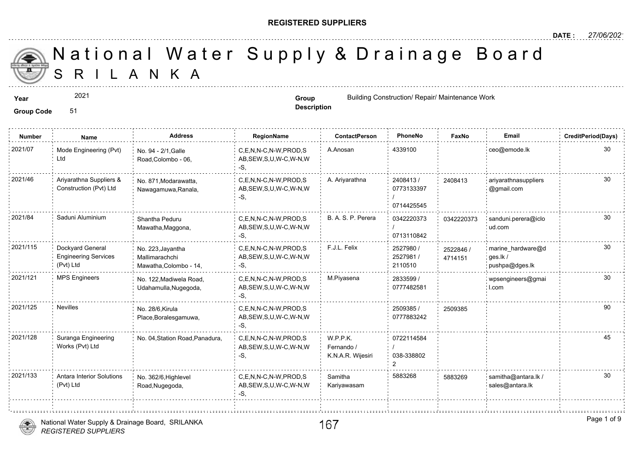#### **REGISTERED SUPPLIERS**

**Description**

A N K A National Water Supply & Drainage

**Year Group Group Building Construction/ Repair/ Maintenance Works and Construction and Construction/ Repair/ Maintenance Works and Construction and Construction and Construction and Construction and Construction and C** 

**Group Code** 51

2021

**Number Name Address RegionName ContactPerson PhoneNo FaxNo Email CreditPeriod(Days)** 2021/07 Mode Engineering (Pvt) No. 94 - 2/1,Galle C,E,N,N-C,N-W,PROD,S A.Anosan 4339100 AB,SEW,S,U,W-C,W-N,W -S, No. 94 - 2/1,Galle Road,Colombo - 06, Mode Engineering (Pvt) Ltd 2408413/ 0773133397 / 0714425545 2021/46 Ariyarathna Suppliers & No. 871,Modarawatta, C,E,N,N-C,N-W,PROD,S A. Ariyarathna 2408413 / 240841 AB,SEW,S,U,W-C,W-N,W -S, No. 871,Modarawatta, Nawagamuwa,Ranala, Ariyarathna Suppliers & Construction (Pvt) Ltd 24084<sup></sup> 0342220373 / 0713110842 2021/84 Saduni Aluminium shantha Peduru C,E,N,N-C,N-W,PROD,S B. A. S. P. Perera 30342220373 034222 AB,SEW,S,U,W-C,W-N,W -S, Shantha Peduru Mawatha,Maggona, 034222 2527980 / 2527981 / 2110510 2021/115 Dockyard General No. 223, Jayantha C,E,N,N-C,N-W,PROD,S F.J.L. Felix 2527980 / 2527880 / 25278 AB,SEW,S,U,W-C,W-N,W -S, No. 223,Jayantha Mallimarachchi Mawatha,Colombo - 14, Dockyard General Engineering Services (Pvt) Ltd 25228 47141 2833599 / 30 0777482581 2021/121 MPS Engineers No. 122,Madiwela Road, C,E,N,N-C,N-W,PROD,S M.Piyasena 2833599 / AB,SEW,S,U,W-C,W-N,W -S, No. 122,Madiwela Road, Udahamulla,Nugegoda, 2509385 / 250938 0777883242 . 2021/125 Nevilles : No. 28/6,Kirula : C,E,N,N-C,N-W,PROD,S : 2509385 / 2509385 / 250938 AB,SEW,S,U,W-C,W-N,W -S, No. 28/6,Kirula Place,Boralesgamuwa, 0722114584 / 038-338802 2 W.P.P.K. Fernando / K.N.A.R. Wijesiri C,E,N,N-C,N-W,PROD,S AB,SEW,S,U,W-C,W-N,W -S, Suranga Engineering No. 04, Station Road, Panadura, Works (Pvt) Ltd 2021/128 Samitha 5883268 588326 Kariyawasam 2021/133 : Antara Interior Solutions No. 362/6 Highlevel C,E,N,N-C,N-W,PROD,S Samitha 5883268 588326 AB,SEW,S,U,W-C,W-N,W -S, No. 362/6,Highlevel Road,Nugegoda, Antara Interior Solutions (Pvt) Ltd 588326



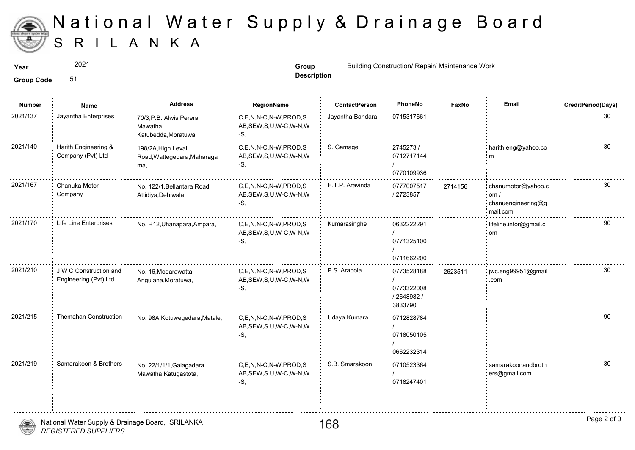

2021

**Description**

**Year Group Group Group Group Group Group Group Group Group Group Group Group Group Group Group Group Group Group Group Group Group Group Group Group Group Group Group** 

| <b>Number</b> | Name                                            | <b>Address</b>                                              | <b>RegionName</b>                                            | <b>ContactPerson</b> | PhoneNo                                            | Faxl   |
|---------------|-------------------------------------------------|-------------------------------------------------------------|--------------------------------------------------------------|----------------------|----------------------------------------------------|--------|
| 2021/137      | Jayantha Enterprises                            | 70/3, P.B. Alwis Perera<br>Mawatha,<br>Katubedda, Moratuwa, | C,E,N,N-C,N-W,PROD,S<br>AB, SEW, S, U, W-C, W-N, W<br>-S.    | Jayantha Bandara     | 0715317661                                         |        |
| 2021/140      | Harith Engineering &<br>Company (Pvt) Ltd       | 198/2A, High Leval<br>Road, Wattegedara, Maharaga<br>ma,    | C,E,N,N-C,N-W,PROD,S<br>AB, SEW, S, U, W-C, W-N, W<br>$-S,$  | S. Gamage            | 2745273/<br>0712717144<br>0770109936               |        |
| 2021/167      | Chanuka Motor<br>Company                        | No. 122/1, Bellantara Road,<br>Attidiya, Dehiwala,          | C,E,N,N-C,N-W,PROD,S<br>AB, SEW, S, U, W-C, W-N, W<br>$-S$ . | H.T.P. Aravinda      | 0777007517<br>/ 2723857                            | 271415 |
| 2021/170      | Life Line Enterprises                           | No. R12, Uhanapara, Ampara,                                 | C.E.N.N-C.N-W.PROD.S<br>AB, SEW, S, U, W-C, W-N, W<br>-S,    | Kumarasinghe         | 0632222291<br>0771325100<br>0711662200             |        |
| 2021/210      | J W C Construction and<br>Engineering (Pvt) Ltd | No. 16, Modarawatta,<br>Angulana, Moratuwa,                 | C,E,N,N-C,N-W,PROD,S<br>AB, SEW, S, U, W-C, W-N, W<br>-S,    | P.S. Arapola         | 0773528188<br>0773322008<br>/ 2648982 /<br>3833790 | 262351 |
| 2021/215      | <b>Themahan Construction</b>                    | No. 98A, Kotuwegedara, Matale,                              | C,E,N,N-C,N-W,PROD,S<br>AB, SEW, S, U, W-C, W-N, W<br>$-S,$  | Udaya Kumara         | 0712828784<br>0718050105<br>0662232314             |        |
| 2021/219      | Samarakoon & Brothers                           | No. 22/1/1/1, Galagadara<br>Mawatha, Katugastota,           | C,E,N,N-C,N-W,PROD,S<br>AB, SEW, S, U, W-C, W-N, W<br>-S,    | S.B. Smarakoon       | 0710523364<br>0718247401                           |        |
|               |                                                 |                                                             |                                                              |                      |                                                    |        |

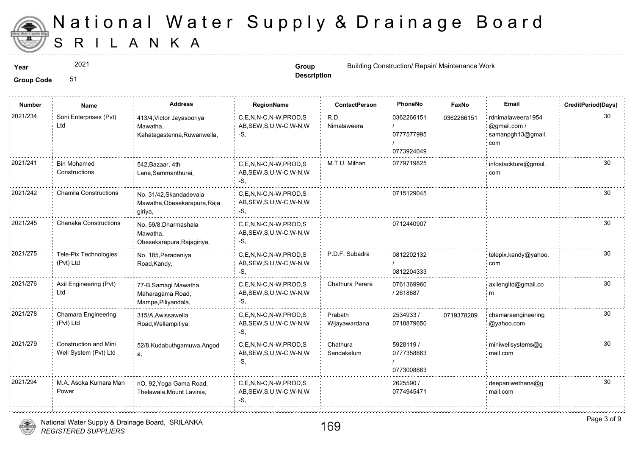

**Group Code** 51

# S R I L A N K A National Water Supply & Drainage

2021

**Year Group Group Group Group Group Group Group Group Group Group Group Group Group Group Group Group Group Group Group Group Group Group Group Group Group Group Group** 

**Description**

| <b>Number</b> | <b>Name</b>                         | <b>Address</b>                                                       | <b>RegionName</b>                                         | <b>ContactPerson</b> | PhoneNo                                | Faxl   |
|---------------|-------------------------------------|----------------------------------------------------------------------|-----------------------------------------------------------|----------------------|----------------------------------------|--------|
| 2021/234      | Soni Enterprises (Pvt)<br>Ltd       | 413/4, Victor Jayasooriya<br>Mawatha,<br>Kahatagastenna, Ruwanwella, | C,E,N,N-C,N-W,PROD,S<br>AB, SEW, S, U, W-C, W-N, W<br>-S. | R.D.<br>Nimalaweera  | 0362266151<br>0777577995<br>0773924049 | 036226 |
| 2021/241      | <b>Bin Mohamed</b><br>Constructions | 542, Bazaar, 4th<br>Lane, Sammanthurai,                              | C,E,N,N-C,N-W,PROD,S<br>AB, SEW, S, U, W-C, W-N, W<br>-5  | M.T.U. Milhan        | 0779719825                             |        |
| 2021/242      | <b>Chamila Constructions</b>        | No. 31/42, Skandadevala<br>Mawatha, Obesekarapura, Raja<br>giriya,   | C,E,N,N-C,N-W,PROD,S<br>AB, SEW, S, U, W-C, W-N, W<br>-S  |                      | 0715129045                             |        |
| 2021/245      | <b>Chanaka Constructions</b>        | No. 59/8, Dharmashala<br>Mawatha,<br>Obesekarapura, Rajagiriya,      | C,E,N,N-C,N-W,PROD,S<br>AB, SEW, S, U, W-C, W-N, W<br>-S. |                      | 0712440907                             |        |
| 2021/275      | Tele-Pix Technologies<br>(Pvt) Ltd  | No. 185, Peradeniya<br>Road, Kandy,                                  | C,E,N,N-C,N-W,PROD,S<br>AB, SEW, S, U, W-C, W-N, W        | P.D.F. Subadra       | 0812202132<br>0812204333               |        |
| 2021/276      | Axil Engineering (Pvt)<br>Ltd       | 77-B, Samagi Mawatha,<br>Maharagama Road,<br>Mampe, Piliyandala,     | C,E,N,N-C,N-W,PROD,S<br>AB, SEW, S, U, W-C, W-N, W        | Chathura Perera      | 0761369960<br>2618687                  |        |

|          |                                                | manarayama rway,<br>Mampe, Piliyandala,              | $, \omega, \omega = \ldots, \omega, \omega, \ldots \omega, \ldots$ |                          | -------                               |        |
|----------|------------------------------------------------|------------------------------------------------------|--------------------------------------------------------------------|--------------------------|---------------------------------------|--------|
| 2021/278 | Chamara Engineering<br>: (Pvt) Ltd             | 315/A, Awissawella<br>Road Wellampitiva.             | C,E,N,N-C,N-W,PROD,S<br>AB, SEW, S, U, W-C, W-N, W                 | Prabath<br>Wijayawardana | 2534933/<br>0718879650                | 071937 |
| 2021/279 | Construction and Mini<br>Well System (Pvt) Ltd | 52/8, Kudabuthgamuwa, Angod                          | C,E,N,N-C,N-W,PROD,S<br>AB, SEW, S, U, W-C, W-N, W                 | Chathura<br>Sandakelum   | 5928119 /<br>0777358863<br>0773008863 |        |
| 2021/294 | M.A. Asoka Kumara Man<br>Power                 | nO. 92, Yoga Gama Road,<br>Thelawala, Mount Lavinia, | C,E,N,N-C,N-W,PROD,S<br>AB, SEW, S, U, W-C, W-N, W                 |                          | 2625590 /<br>0774945471               |        |
|          |                                                |                                                      |                                                                    |                          |                                       |        |



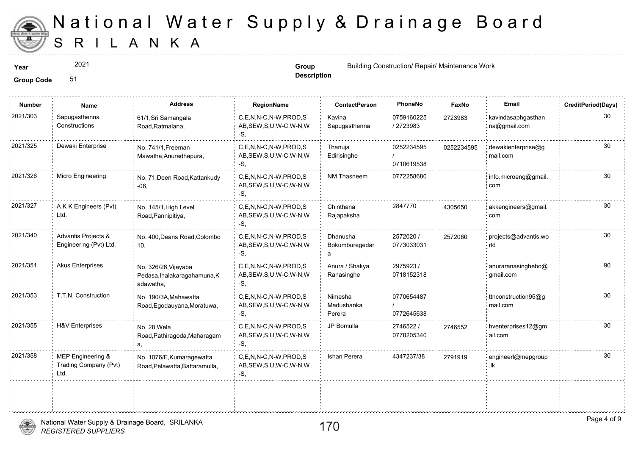

2021

**Description**

**Year Group Group Group Group Group Group Group Group Group Group Group Group Group Group Group Group Group Group Group Group Group Group Group Group Group Group Group** 

| <b>Number</b> | Name                                               | <b>Address</b>                                                    | RegionName                                                   | <b>ContactPerson</b>                   | PhoneNo                  | Faxl   |
|---------------|----------------------------------------------------|-------------------------------------------------------------------|--------------------------------------------------------------|----------------------------------------|--------------------------|--------|
| 2021/303      | Sapugasthenna<br>Constructions                     | 61/1, Sri Samangala<br>Road, Ratmalana,                           | C,E,N,N-C,N-W,PROD,S<br>AB, SEW, S, U, W-C, W-N, W<br>-S.    | Kavina<br>Sapugasthenna                | 0759160225<br>/ 2723983  | 272398 |
| 2021/325      | Dewaki Enterprise                                  | No. 741/1, Freeman<br>Mawatha, Anuradhapura,                      | C,E,N,N-C,N-W,PROD,S<br>AB, SEW, S, U, W-C, W-N, W<br>-S.    | Thanuja<br>Edirisinghe                 | 0252234595<br>0710619538 | 025223 |
| 2021/326      | Micro Engineering                                  | No. 71, Deen Road, Kattankudy<br>$-06,$                           | C,E,N,N-C,N-W,PROD,S<br>AB, SEW, S, U, W-C, W-N, W<br>-S.    | NM Thasneem                            | 0772258680               |        |
| 2021/327      | A K K Engineers (Pvt)<br>Ltd.                      | No. 145/1, High Level<br>Road, Pannipitiya,                       | C.E.N.N-C.N-W.PROD.S<br>AB, SEW, S, U, W-C, W-N, W<br>-S.    | Chinthana<br>Rajapaksha                | 2847770                  | 430565 |
| 2021/340      | Advantis Projects &<br>Engineering (Pvt) Ltd.      | No. 400, Deans Road, Colombo<br>10,                               | C.E.N.N-C.N-W.PROD.S<br>AB, SEW, S, U, W-C, W-N, W<br>-S.    | Dhanusha<br>Bokumburegedar<br>a        | 2572020 /<br>0773033031  | 257206 |
| 2021/351      | <b>Akus Enterprises</b>                            | No. 326/26, Vijayaba<br>Pedasa, Ihalakaragahamuna, K<br>adawatha, | C.E.N.N-C.N-W.PROD.S<br>AB, SEW, S, U, W-C, W-N, W<br>$-S$ , | Anura / Shakya<br>Ranasinghe           | 2975923/<br>0718152318   |        |
| 2021/353      | T.T.N. Construction                                | No. 190/3A, Mahawatta<br>Road, Egodauyana, Moratuwa,              | C.E.N.N-C.N-W.PROD.S<br>AB, SEW, S, U, W-C, W-N, W<br>-S,    | <b>Nimesha</b><br>Madushanka<br>Perera | 0770654487<br>0772645638 |        |
| 2021/355      | <b>H&amp;V</b> Enterprises                         | No. 28, Wela<br>Road, Pathiragoda, Maharagam                      | C,E,N,N-C,N-W,PROD,S<br>AB, SEW, S, U, W-C, W-N, W<br>-S,    | JP Bomulla                             | 2746522 /<br>0778205340  | 274655 |
| 2021/358      | MEP Engineering &<br>Trading Company (Pvt)<br>Ltd. | No. 1076/E, Kumaragewatta<br>Road, Pelawatta, Battaramulla,       | C.E.N.N-C.N-W.PROD.S<br>AB, SEW, S, U, W-C, W-N, W<br>-S,    | Ishan Perera                           | 4347237/38               | 279191 |
|               |                                                    |                                                                   |                                                              |                                        |                          |        |

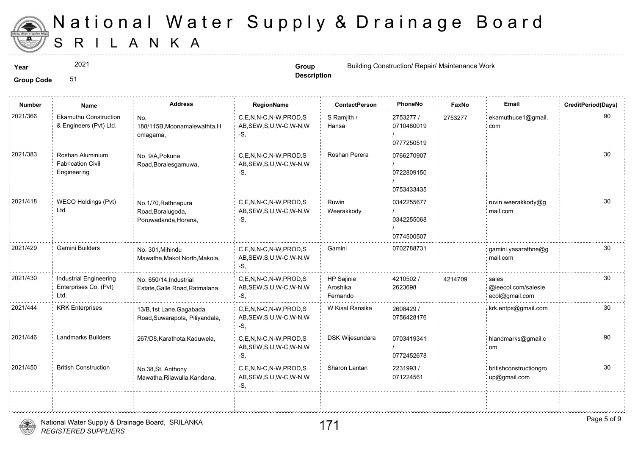

2021

**Group Code** 51

**Year Construction Group Group Group Glue Equation Group Group Glue Equation Construction Construction Glue Equation Construction Glue Equation Construction Glue Equation Glue Equation Glu** 

**Description**

| <b>Number</b> | Name                                                           | <b>Address</b>                                                   | RegionName                                                | <b>ContactPerson</b>               | PhoneNo                                | Faxl   |
|---------------|----------------------------------------------------------------|------------------------------------------------------------------|-----------------------------------------------------------|------------------------------------|----------------------------------------|--------|
| 2021/366      | <b>Ekamuthu Construction</b><br>& Engineers (Pvt) Ltd.         | No.<br>188/115B, Moonamalewathta, H<br>omagama,                  | C,E,N,N-C,N-W,PROD,S<br>AB, SEW, S, U, W-C, W-N, W<br>-S, | S Ramjith /<br>Hansa               | 2753277 /<br>0710480019<br>0777250519  | 275327 |
| 2021/383      | Roshan Aluminium<br><b>Fabrication Civil</b><br>Engineering    | No. 9/A.Pokuna<br>Road, Boralesgamuwa,                           | C.E.N.N-C.N-W.PROD.S<br>AB, SEW, S, U, W-C, W-N, W<br>-S. | Roshan Perera                      | 0766270907<br>0722809150<br>0753433435 |        |
| 2021/418      | WECO Holdings (Pvt)<br>Ltd.                                    | No.1/70, Rathnapura<br>Road, Boralugoda,<br>Poruwadanda, Horana, | C.E.N.N-C.N-W.PROD.S<br>AB, SEW, S, U, W-C, W-N, W<br>-S, | Ruwin<br>Weerakkody                | 0342255677<br>0342255068<br>0774500507 |        |
| 2021/429      | Gamini Builders                                                | No. 301, Mihindu<br>Mawatha, Makol North, Makola,                | C.E.N.N-C.N-W.PROD.S<br>AB, SEW, S, U, W-C, W-N, W<br>-S, | Gamini                             | 0702788731                             |        |
| 2021/430      | <b>Industrial Engineering</b><br>Enterprises Co. (Pvt)<br>Ltd. | No. 650/14, Industrial<br>Estate, Galle Road, Ratmalana,         | C.E.N.N-C.N-W.PROD.S<br>AB, SEW, S, U, W-C, W-N, W<br>-S. | HP Sajinie<br>Aroshika<br>Fernando | 4210502/<br>2623698                    | 421470 |
| 2021/444      | <b>KRK Enterprises</b>                                         | 13/B,1st Lane, Gagabada<br>Road, Suwarapola, Piliyandala,        | C,E,N,N-C,N-W,PROD,S<br>AB, SEW, S, U, W-C, W-N, W<br>-S, | W Kisal Ransika                    | 2608429 /<br>0756428176                |        |
| 2021/446      | <b>Landmarks Builders</b>                                      | 267/D8, Karathota, Kaduwela,                                     | C,E,N,N-C,N-W,PROD,S<br>AB, SEW, S, U, W-C, W-N, W<br>-S. | DSK Wijesundara                    | 0703419341<br>0772452678               |        |
| 2021/450      | <b>British Construction</b>                                    | No.38, St. Anthony<br>Mawatha, Rilawulla, Kandana,               | C.E.N.N-C.N-W.PROD.S<br>AB, SEW, S, U, W-C, W-N, W<br>-S, | Sharon Lantan                      | 2231993/<br>071224561                  |        |
|               |                                                                |                                                                  |                                                           |                                    |                                        |        |

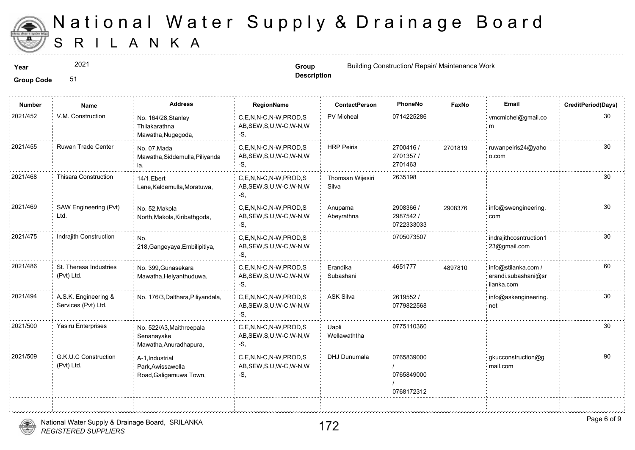

2021

**Description**

**Year Group Group Building Construction/ Repair/ Maintenance Works and Construction and Maintenance Works and Maintenance Works and Maintenance Works and Maintenance Works and Maintenance Works and Maintenance Works an** 

| <b>Number</b> | Name                                        | <b>Address</b>                                                   | RegionName                                                   | <b>ContactPerson</b>      | PhoneNo                                | Faxl   |
|---------------|---------------------------------------------|------------------------------------------------------------------|--------------------------------------------------------------|---------------------------|----------------------------------------|--------|
| 2021/452      | V.M. Construction                           | No. 164/28, Stanley<br>Thilakarathna<br>Mawatha, Nugegoda,       | C,E,N,N-C,N-W,PROD,S<br>AB, SEW, S, U, W-C, W-N, W<br>-S.    | PV Micheal                | 0714225286                             |        |
| 2021/455      | Ruwan Trade Center                          | No. 07, Mada<br>Mawatha, Siddemulla, Piliyanda<br>la,            | C.E.N.N-C.N-W.PROD.S<br>AB, SEW, S, U, W-C, W-N, W<br>$-S$ , | <b>HRP Peiris</b>         | 2700416 /<br>2701357/<br>2701463       | 270181 |
| 2021/468      | <b>Thisara Construction</b>                 | 14/1, Ebert<br>Lane, Kaldemulla, Moratuwa,                       | C.E.N.N-C.N-W.PROD.S<br>AB, SEW, S, U, W-C, W-N, W<br>-S,    | Thomsan Wijesiri<br>Silva | 2635198                                |        |
| 2021/469      | SAW Engineering (Pvt)<br>Ltd.               | No. 52, Makola<br>North, Makola, Kiribathgoda,                   | C,E,N,N-C,N-W,PROD,S<br>AB, SEW, S, U, W-C, W-N, W<br>-S.    | Anupama<br>Abeyrathna     | 2908366 /<br>2987542 /<br>0722333033   | 290837 |
| 2021/475      | Indrajith Construction                      | No.<br>218, Gangeyaya, Embilipitiya,                             | C,E,N,N-C,N-W,PROD,S<br>AB, SEW, S, U, W-C, W-N, W<br>-S,    |                           | 0705073507                             |        |
| 2021/486      | St. Theresa Industries<br>(Pvt) Ltd.        | No. 399, Gunasekara<br>Mawatha, Heiyanthuduwa,                   | C,E,N,N-C,N-W,PROD,S<br>AB, SEW, S, U, W-C, W-N, W<br>$-S$ . | Erandika<br>Subashani     | 4651777                                | 489781 |
| 2021/494      | A.S.K. Engineering &<br>Services (Pvt) Ltd. | No. 176/3, Dalthara, Piliyandala,                                | C.E.N.N-C.N-W.PROD.S<br>AB, SEW, S, U, W-C, W-N, W<br>-S.    | <b>ASK Silva</b>          | 2619552/<br>0779822568                 |        |
| 2021/500      | Yasiru Enterprises                          | No. 522/A3, Maithreepala<br>Senanayake<br>Mawatha, Anuradhapura, | C.E.N.N-C.N-W.PROD.S<br>AB, SEW, S, U, W-C, W-N, W<br>-S.    | Uapli<br>Wellawaththa     | 0775110360                             |        |
| 2021/509      | G.K.U.C Construction<br>(Pvt) Ltd.          | A-1, Industrial<br>Park, Awissawella<br>Road, Galigamuwa Town,   | C.E.N.N-C.N-W.PROD.S<br>AB, SEW, S, U, W-C, W-N, W<br>$-S$ . | DHJ Dunumala              | 0765839000<br>0765849000<br>0768172312 |        |
|               |                                             |                                                                  |                                                              |                           |                                        |        |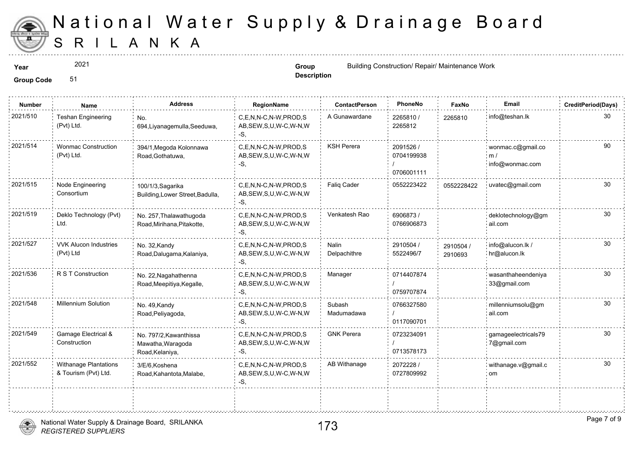

2021

**Description**

**Year Group Group Group Group Group Group Group Group Group Group Group Group Group Group Group Group Group Group Group Group Group Group Group Group Group Group Group** 

**Group Code** 51

| <b>Number</b> | Name                                                 | <b>Address</b>                                                 | RegionName                                                | <b>ContactPerson</b>  | PhoneNo                               | Faxl             |
|---------------|------------------------------------------------------|----------------------------------------------------------------|-----------------------------------------------------------|-----------------------|---------------------------------------|------------------|
| 2021/510      | <b>Teshan Engineering</b><br>(Pvt) Ltd.              | No.<br>694, Liyanagemulla, Seeduwa,                            | C,E,N,N-C,N-W,PROD,S<br>AB, SEW, S, U, W-C, W-N, W<br>-S, | A Gunawardane         | 2265810 /<br>2265812                  | 226581           |
| 2021/514      | <b>Wonmac Construction</b><br>(Pvt) Ltd.             | 394/1, Megoda Kolonnawa<br>Road, Gothatuwa,                    | C.E.N.N-C.N-W.PROD.S<br>AB, SEW, S, U, W-C, W-N, W<br>-S. | <b>KSH Perera</b>     | 2091526 /<br>0704199938<br>0706001111 |                  |
| 2021/515      | Node Engineering<br>Consortium                       | 100/1/3, Sagarika<br>Building, Lower Street, Badulla,          | C,E,N,N-C,N-W,PROD,S<br>AB, SEW, S, U, W-C, W-N, W<br>-S. | Faliq Cader           | 0552223422                            | 055222           |
| 2021/519      | Deklo Technology (Pvt)<br>Ltd.                       | No. 257, Thalawathugoda<br>Road, Mirihana, Pitakotte,          | C.E.N.N-C.N-W.PROD.S<br>AB, SEW, S, U, W-C, W-N, W<br>-S, | Venkatesh Rao         | 6906873/<br>0766906873                |                  |
| 2021/527      | <b>VVK Alucon Industries</b><br>(Pvt) Ltd            | No. 32, Kandy<br>Road, Dalugama, Kalaniya,                     | C.E.N.N-C.N-W.PROD.S<br>AB, SEW, S, U, W-C, W-N, W<br>-S, | Nalin<br>Delpachithre | 2910504 /<br>5522496/7                | 291050<br>291069 |
| 2021/536      | R S T Construction                                   | No. 22, Nagahathenna<br>Road, Meepitiya, Kegalle,              | C,E,N,N-C,N-W,PROD,S<br>AB, SEW, S, U, W-C, W-N, W<br>-S. | Manager               | 0714407874<br>0759707874              |                  |
| 2021/548      | Millennium Solution                                  | No. 49, Kandy<br>Road, Peliyagoda,                             | C.E.N.N-C.N-W.PROD.S<br>AB, SEW, S, U, W-C, W-N, W<br>-S. | Subash<br>Madumadawa  | 0766327580<br>0117090701              |                  |
| 2021/549      | Gamage Electrical &<br>Construction                  | No. 797/2, Kawanthissa<br>Mawatha, Waragoda<br>Road, Kelaniya, | C,E,N,N-C,N-W,PROD,S<br>AB, SEW, S, U, W-C, W-N, W<br>-S, | <b>GNK Perera</b>     | 0723234091<br>0713578173              |                  |
| 2021/552      | <b>Withanage Plantations</b><br>& Tourism (Pvt) Ltd. | 3/E/6, Koshena<br>Road, Kahantota, Malabe,                     | C,E,N,N-C,N-W,PROD,S<br>AB, SEW, S, U, W-C, W-N, W<br>-S, | AB Withanage          | 2072228 /<br>0727809992               |                  |
|               |                                                      |                                                                |                                                           |                       |                                       |                  |



÷.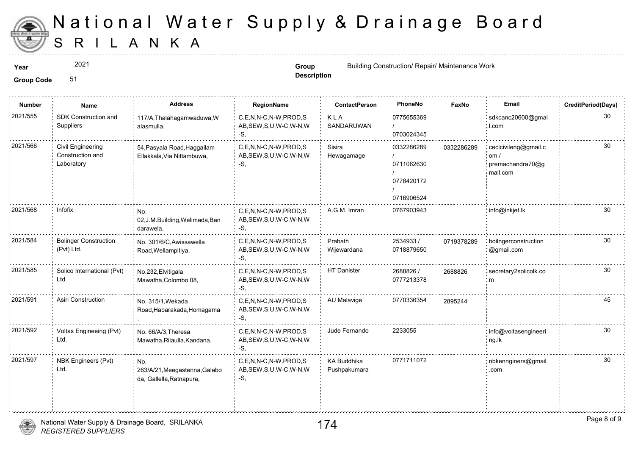

2021

**Description**

**Year Group Group Group Group Group Group Group Group Group Group Group Group Group Group Group Group Group Group Group Group Group Group Group Group Group Group Group** 

| <b>Number</b> | Name                                                | <b>Address</b>                                                   | RegionName                                                  | <b>ContactPerson</b>               | PhoneNo                                              | Faxl   |
|---------------|-----------------------------------------------------|------------------------------------------------------------------|-------------------------------------------------------------|------------------------------------|------------------------------------------------------|--------|
| 2021/555      | SDK Construction and<br>Suppliers                   | 117/A, Thalahagamwaduwa, W<br>alasmulla,                         | C,E,N,N-C,N-W,PROD,S<br>AB, SEW, S, U, W-C, W-N, W<br>-S,   | KLA<br>SANDARUWAN                  | 0775655369<br>0703024345                             |        |
| 2021/566      | Civil Engineering<br>Construction and<br>Laboratory | 54, Pasyala Road, Haggallam<br>Ellakkala, Via Nittambuwa,        | C,E,N,N-C,N-W,PROD,S<br>AB, SEW, S, U, W-C, W-N, W<br>-S,   | Sisira<br>Hewagamage               | 0332286289<br>0711062630<br>0778420172<br>0716906524 | 033228 |
| 2021/568      | Infofix                                             | No.<br>02, J.M. Building, Welimada, Ban<br>darawela,             | C,E,N,N-C,N-W,PROD,S<br>AB, SEW, S, U, W-C, W-N, W<br>-S.   | A.G.M. Imran                       | 0767903943                                           |        |
| 2021/584      | <b>Bolinger Construction</b><br>(Pvt) Ltd.          | No. 301/6/C, Awissawella<br>Road, Wellampitiya,                  | C,E,N,N-C,N-W,PROD,S<br>AB, SEW, S, U, W-C, W-N, W<br>-S.   | Prabath<br>Wijewardana             | 2534933 /<br>0718879650                              | 071937 |
| 2021/585      | Solico International (Pvt)<br>Ltd                   | No.232, Elvitigala<br>Mawatha, Colombo 08,                       | C,E,N,N-C,N-W,PROD,S<br>AB, SEW, S, U, W-C, W-N, W<br>-S.   | HT Danister                        | 2688826 /<br>0777213378                              | 268882 |
| 2021/591      | Asiri Construction                                  | No. 315/1, Wekada<br>Road, Habarakada, Homagama                  | C.E.N.N-C.N-W.PROD.S<br>AB, SEW, S, U, W-C, W-N, W<br>$-S,$ | AU Malavige                        | 0770336354                                           | 289524 |
| 2021/592      | Voltas Engineeing (Pvt)<br>Ltd.                     | No. 66/A/3, Theresa<br>Mawatha, Rilaulla, Kandana,               | C.E.N.N-C.N-W.PROD.S<br>AB, SEW, S, U, W-C, W-N, W<br>-S.   | Jude Fernando                      | 2233055                                              |        |
| 2021/597      | NBK Engineers (Pvt)<br>Ltd.                         | No.<br>263/A/21, Meegastenna, Galabo<br>da, Gallella, Ratnapura, | C.E.N.N-C.N-W.PROD.S<br>AB, SEW, S, U, W-C, W-N, W<br>-S,   | <b>KA Buddhika</b><br>Pushpakumara | 0771711072                                           |        |
|               |                                                     |                                                                  |                                                             |                                    |                                                      |        |